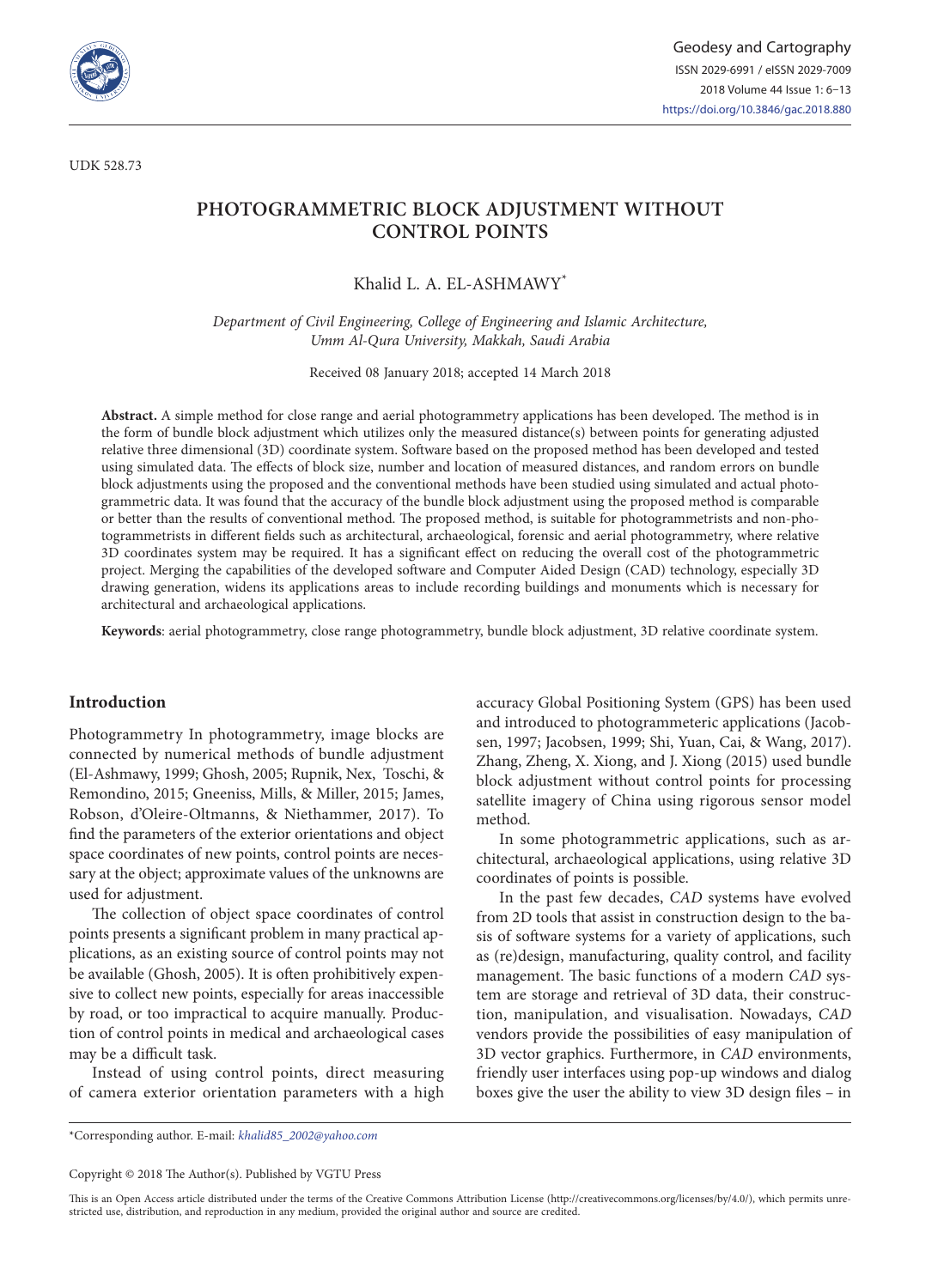

UDK 528.73

# **PHOTOGRAMMETRIC BLOCK ADJUSTMENT WITHOUT CONTROL POINTS**

Khalid L. A. EL-ASHMAWY\*

*Department of Civil Engineering, College of Engineering and Islamic Architecture, Umm Al-Qura University, Makkah, Saudi Arabia*

Received 08 January 2018; accepted 14 March 2018

**Abstract.** A simple method for close range and aerial photogrammetry applications has been developed. The method is in the form of bundle block adjustment which utilizes only the measured distance(s) between points for generating adjusted relative three dimensional (3D) coordinate system. Software based on the proposed method has been developed and tested using simulated data. The effects of block size, number and location of measured distances, and random errors on bundle block adjustments using the proposed and the conventional methods have been studied using simulated and actual photogrammetric data. It was found that the accuracy of the bundle block adjustment using the proposed method is comparable or better than the results of conventional method. The proposed method, is suitable for photogrammetrists and non-photogrammetrists in different fields such as architectural, archaeological, forensic and aerial photogrammetry, where relative 3D coordinates system may be required. It has a significant effect on reducing the overall cost of the photogrammetric project. Merging the capabilities of the developed software and Computer Aided Design (CAD) technology, especially 3D drawing generation, widens its applications areas to include recording buildings and monuments which is necessary for architectural and archaeological applications.

**Keywords**: aerial photogrammetry, close range photogrammetry, bundle block adjustment, 3D relative coordinate system.

### **Introduction**

Photogrammetry In photogrammetry, image blocks are connected by numerical methods of bundle adjustment (El-Ashmawy, 1999; Ghosh, 2005; Rupnik, Nex, Toschi, & Remondino, 2015; Gneeniss, Mills, & Miller, 2015; James, Robson, d'Oleire-Oltmanns, & Niethammer, 2017). To find the parameters of the exterior orientations and object space coordinates of new points, control points are necessary at the object; approximate values of the unknowns are used for adjustment.

The collection of object space coordinates of control points presents a significant problem in many practical applications, as an existing source of control points may not be available (Ghosh, 2005). It is often prohibitively expensive to collect new points, especially for areas inaccessible by road, or too impractical to acquire manually. Production of control points in medical and archaeological cases may be a difficult task.

Instead of using control points, direct measuring of camera exterior orientation parameters with a high accuracy Global Positioning System (GPS) has been used and introduced to photogrammeteric applications (Jacobsen, 1997; Jacobsen, 1999; Shi, Yuan, Cai, & Wang, 2017). Zhang, Zheng, X. Xiong, and J. Xiong (2015) used bundle block adjustment without control points for processing satellite imagery of China using rigorous sensor model method.

In some photogrammetric applications, such as architectural, archaeological applications, using relative 3D coordinates of points is possible.

In the past few decades, *CAD* systems have evolved from 2D tools that assist in construction design to the basis of software systems for a variety of applications, such as (re)design, manufacturing, quality control, and facility management. The basic functions of a modern *CAD* system are storage and retrieval of 3D data, their construction, manipulation, and visualisation. Nowadays, *CAD* vendors provide the possibilities of easy manipulation of 3D vector graphics. Furthermore, in *CAD* environments, friendly user interfaces using pop-up windows and dialog boxes give the user the ability to view 3D design files – in

\*Corresponding author. E-mail: *[khalid85\\_2002@yahoo.com](mailto:khalid85_2002@yahoo.com)*

Copyright © 2018 The Author(s). Published by VGTU Press

This is an Open Access article distributed under the terms of the Creative Commons Attribution License [\(http://creativecommons.org/licenses/by/4.0/](http://creativecommons.org/licenses/by/4.0/)), which permits unrestricted use, distribution, and reproduction in any medium, provided the original author and source are credited.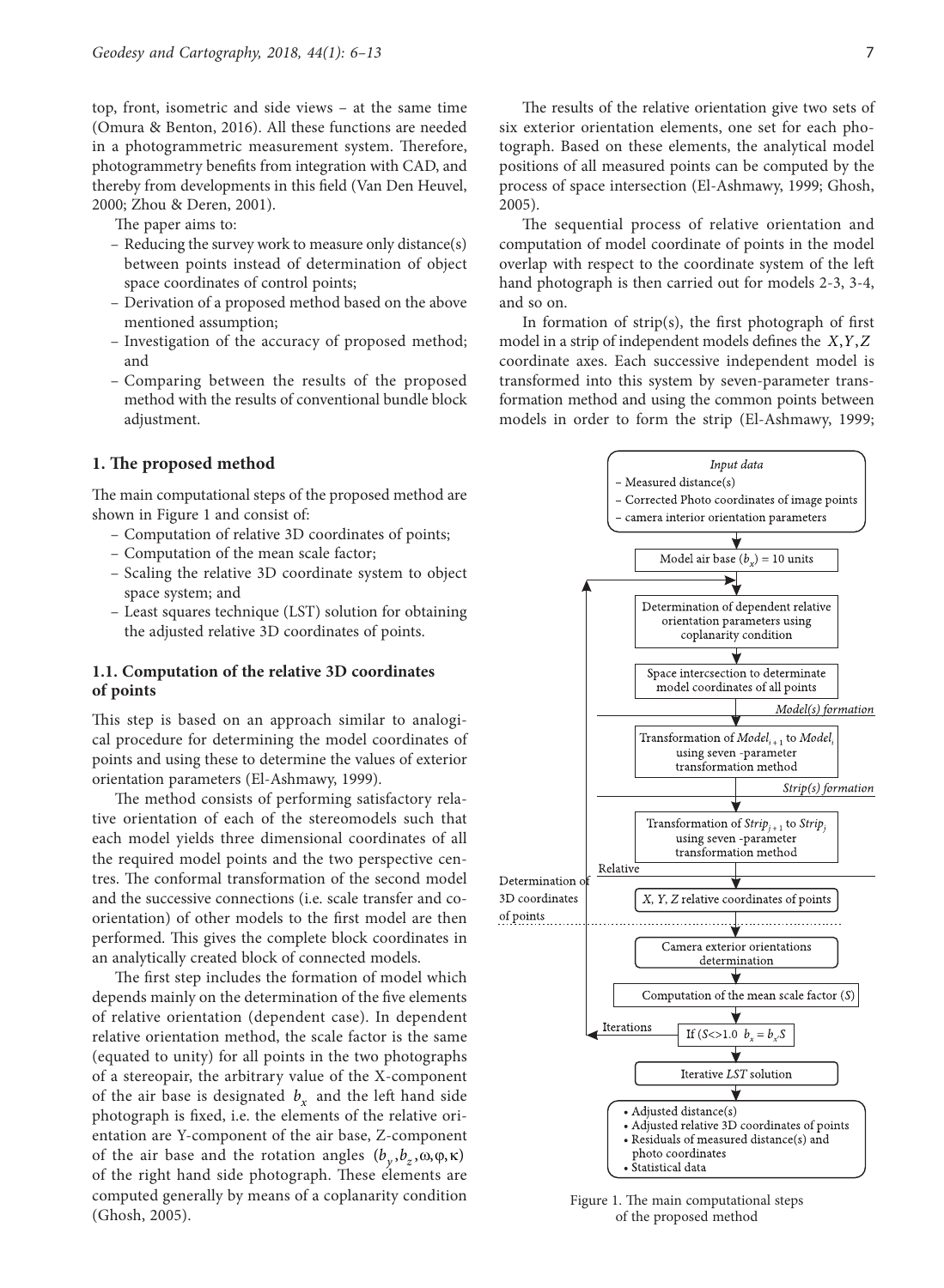top, front, isometric and side views – at the same time (Omura & Benton, 2016). All these functions are needed in a photogrammetric measurement system. Therefore, photogrammetry benefits from integration with CAD, and thereby from developments in this field (Van Den Heuvel, 2000; Zhou & Deren, 2001).

The paper aims to:

- Reducing the survey work to measure only distance(s) between points instead of determination of object space coordinates of control points;
- Derivation of a proposed method based on the above mentioned assumption;
- Investigation of the accuracy of proposed method; and
- Comparing between the results of the proposed method with the results of conventional bundle block adjustment.

### **1. The proposed method**

The main computational steps of the proposed method are shown in Figure 1 and consist of:

- Computation of relative 3D coordinates of points;
- Computation of the mean scale factor;
- Scaling the relative 3D coordinate system to object space system; and
- Least squares technique (LST) solution for obtaining the adjusted relative 3D coordinates of points.

### **1.1. Computation of the relative 3D coordinates of points**

This step is based on an approach similar to analogical procedure for determining the model coordinates of points and using these to determine the values of exterior orientation parameters (El-Ashmawy, 1999).

The method consists of performing satisfactory relative orientation of each of the stereomodels such that each model yields three dimensional coordinates of all the required model points and the two perspective centres. The conformal transformation of the second model and the successive connections (i.e. scale transfer and coorientation) of other models to the first model are then performed. This gives the complete block coordinates in an analytically created block of connected models.

The first step includes the formation of model which depends mainly on the determination of the five elements of relative orientation (dependent case). In dependent relative orientation method, the scale factor is the same (equated to unity) for all points in the two photographs of a stereopair, the arbitrary value of the X-component of the air base is designated  $b<sub>x</sub>$  and the left hand side photograph is fixed, i.e. the elements of the relative orientation are Y-component of the air base, Z-component of the air base and the rotation angles  $(b_v, b_z, \omega, \varphi, \kappa)$ of the right hand side photograph. These elements are computed generally by means of a coplanarity condition (Ghosh, 2005).

The results of the relative orientation give two sets of six exterior orientation elements, one set for each photograph. Based on these elements, the analytical model positions of all measured points can be computed by the process of space intersection (El-Ashmawy, 1999; Ghosh, 2005).

The sequential process of relative orientation and computation of model coordinate of points in the model overlap with respect to the coordinate system of the left hand photograph is then carried out for models 2-3, 3-4, and so on.

In formation of strip(s), the first photograph of first model in a strip of independent models defines the *X*, *Y*, *Z* coordinate axes. Each successive independent model is transformed into this system by seven-parameter transformation method and using the common points between models in order to form the strip (El-Ashmawy, 1999;



Figure 1. The main computational steps of the proposed method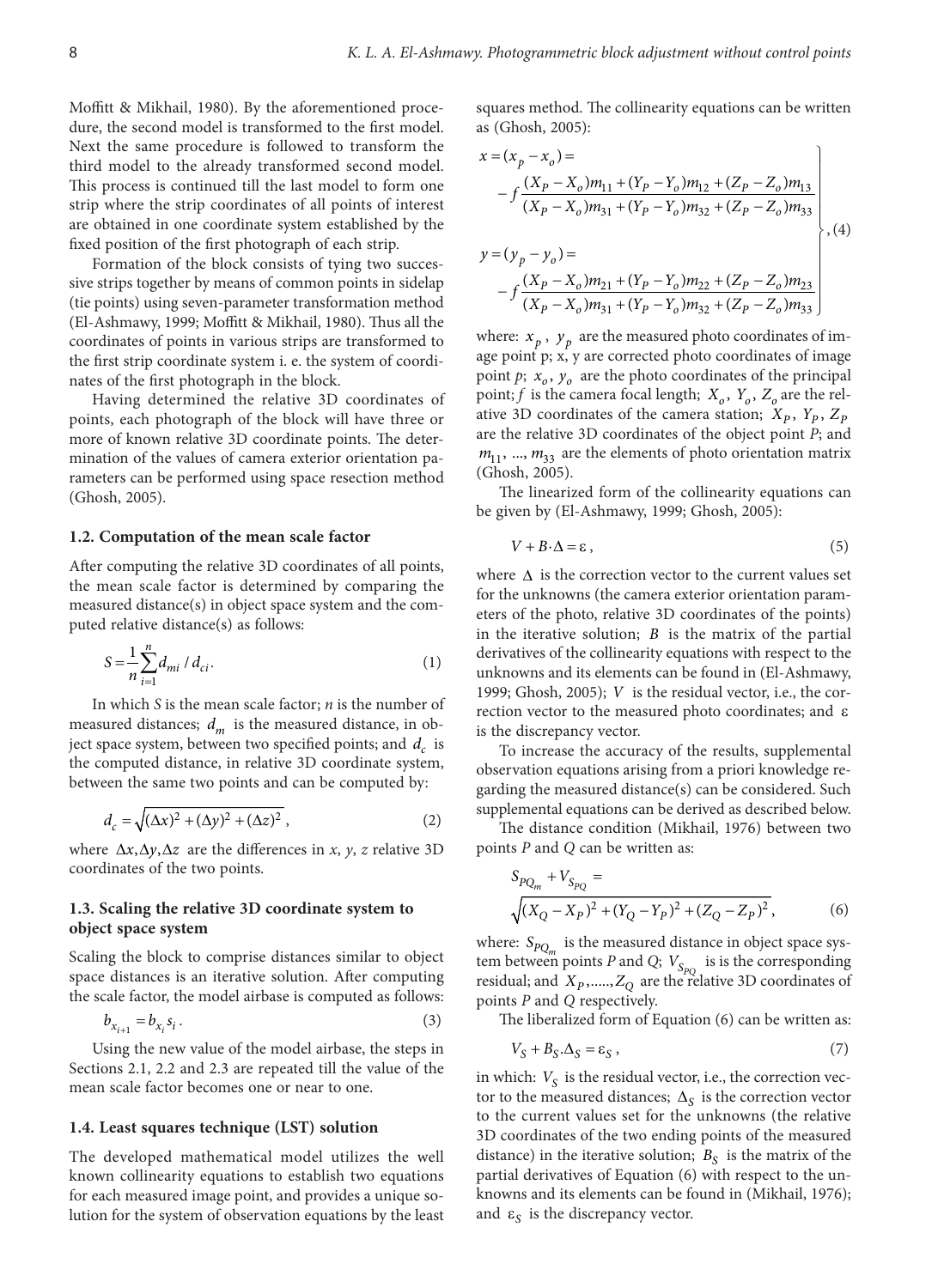Moffitt & Mikhail, 1980). By the aforementioned procedure, the second model is transformed to the first model. Next the same procedure is followed to transform the third model to the already transformed second model. This process is continued till the last model to form one strip where the strip coordinates of all points of interest are obtained in one coordinate system established by the fixed position of the first photograph of each strip.

Formation of the block consists of tying two successive strips together by means of common points in sidelap (tie points) using seven-parameter transformation method (El-Ashmawy, 1999; Moffitt & Mikhail, 1980). Thus all the coordinates of points in various strips are transformed to the first strip coordinate system i. e. the system of coordinates of the first photograph in the block.

Having determined the relative 3D coordinates of points, each photograph of the block will have three or more of known relative 3D coordinate points. The determination of the values of camera exterior orientation parameters can be performed using space resection method (Ghosh, 2005).

### **1.2. Computation of the mean scale factor**

After computing the relative 3D coordinates of all points, the mean scale factor is determined by comparing the measured distance(s) in object space system and the computed relative distance(s) as follows:

$$
S = \frac{1}{n} \sum_{i=1}^{n} d_{mi} / d_{ci}.
$$
 (1)

In which *S* is the mean scale factor; *n* is the number of measured distances;  $d_m$  is the measured distance, in object space system, between two specified points; and *d<sub>c</sub>* is the computed distance, in relative 3D coordinate system, between the same two points and can be computed by:

$$
d_c = \sqrt{(\Delta x)^2 + (\Delta y)^2 + (\Delta z)^2},\tag{2}
$$

where  $Δx, Δy, Δz$  are the differences in *x*, *y*, *z* relative 3D coordinates of the two points.

### **1.3. Scaling the relative 3D coordinate system to object space system**

Scaling the block to comprise distances similar to object space distances is an iterative solution. After computing the scale factor, the model airbase is computed as follows:

$$
b_{x_{i+1}} = b_{x_i} s_i \,. \tag{3}
$$

Using the new value of the model airbase, the steps in Sections 2.1, 2.2 and 2.3 are repeated till the value of the mean scale factor becomes one or near to one.

#### **1.4. Least squares technique (LST) solution**

The developed mathematical model utilizes the well known collinearity equations to establish two equations for each measured image point, and provides a unique solution for the system of observation equations by the least squares method. The collinearity equations can be written as (Ghosh, 2005):

$$
x = (x_p - x_o) =
$$
  
\n
$$
-f \frac{(X_p - X_o)m_{11} + (Y_p - Y_o)m_{12} + (Z_p - Z_o)m_{13}}{(X_p - X_o)m_{31} + (Y_p - Y_o)m_{32} + (Z_p - Z_o)m_{33}}
$$
  
\n
$$
y = (y_p - y_o) =
$$
  
\n
$$
-f \frac{(X_p - X_o)m_{21} + (Y_p - Y_o)m_{22} + (Z_p - Z_o)m_{23}}{(X_p - X_o)m_{31} + (Y_p - Y_o)m_{32} + (Z_p - Z_o)m_{33}}
$$
 (4)

where:  $x_p$ ,  $y_p$  are the measured photo coordinates of image point p; x, y are corrected photo coordinates of image point  $p$ ;  $x<sub>o</sub>$ ,  $y<sub>o</sub>$  are the photo coordinates of the principal point; *f* is the camera focal length;  $X_o$ ,  $Y_o$ ,  $Z_o$  are the relative 3D coordinates of the camera station;  $X_p$ ,  $Y_p$ ,  $Z_p$ are the relative 3D coordinates of the object point *P*; and  $m_{11}$ , ...,  $m_{33}$  are the elements of photo orientation matrix (Ghosh, 2005).

The linearized form of the collinearity equations can be given by (El-Ashmawy, 1999; Ghosh, 2005):

$$
V + B \cdot \Delta = \varepsilon \,,\tag{5}
$$

where  $\Delta$  is the correction vector to the current values set for the unknowns (the camera exterior orientation parameters of the photo, relative 3D coordinates of the points) in the iterative solution; *B* is the matrix of the partial derivatives of the collinearity equations with respect to the unknowns and its elements can be found in (El-Ashmawy, 1999; Ghosh, 2005); *V* is the residual vector, i.e., the correction vector to the measured photo coordinates; and ε is the discrepancy vector.

To increase the accuracy of the results, supplemental observation equations arising from a priori knowledge regarding the measured distance(s) can be considered. Such supplemental equations can be derived as described below.

The distance condition (Mikhail, 1976) between two points *P* and *Q* can be written as:

$$
S_{PQ_m} + V_{S_{PQ}} =
$$
  
 
$$
\sqrt{(X_Q - X_P)^2 + (Y_Q - Y_P)^2 + (Z_Q - Z_P)^2},
$$
 (6)

where:  $S_{PQ_m}$  is the measured distance in object space system between points *P* and *Q*;  $V_{S_{PQ}}$  is is the corresponding residual; and  $X_p, \ldots, Z_Q$  are the relative 3D coordinates of points *P* and *Q* respectively.

The liberalized form of Equation (6) can be written as:

$$
V_S + B_S \Delta_S = \varepsilon_S \,, \tag{7}
$$

in which:  $V<sub>S</sub>$  is the residual vector, i.e., the correction vector to the measured distances;  $\Delta_{S}$  is the correction vector to the current values set for the unknowns (the relative 3D coordinates of the two ending points of the measured distance) in the iterative solution;  $B<sub>S</sub>$  is the matrix of the partial derivatives of Equation (6) with respect to the unknowns and its elements can be found in (Mikhail, 1976); and  $\varepsilon_s$  is the discrepancy vector.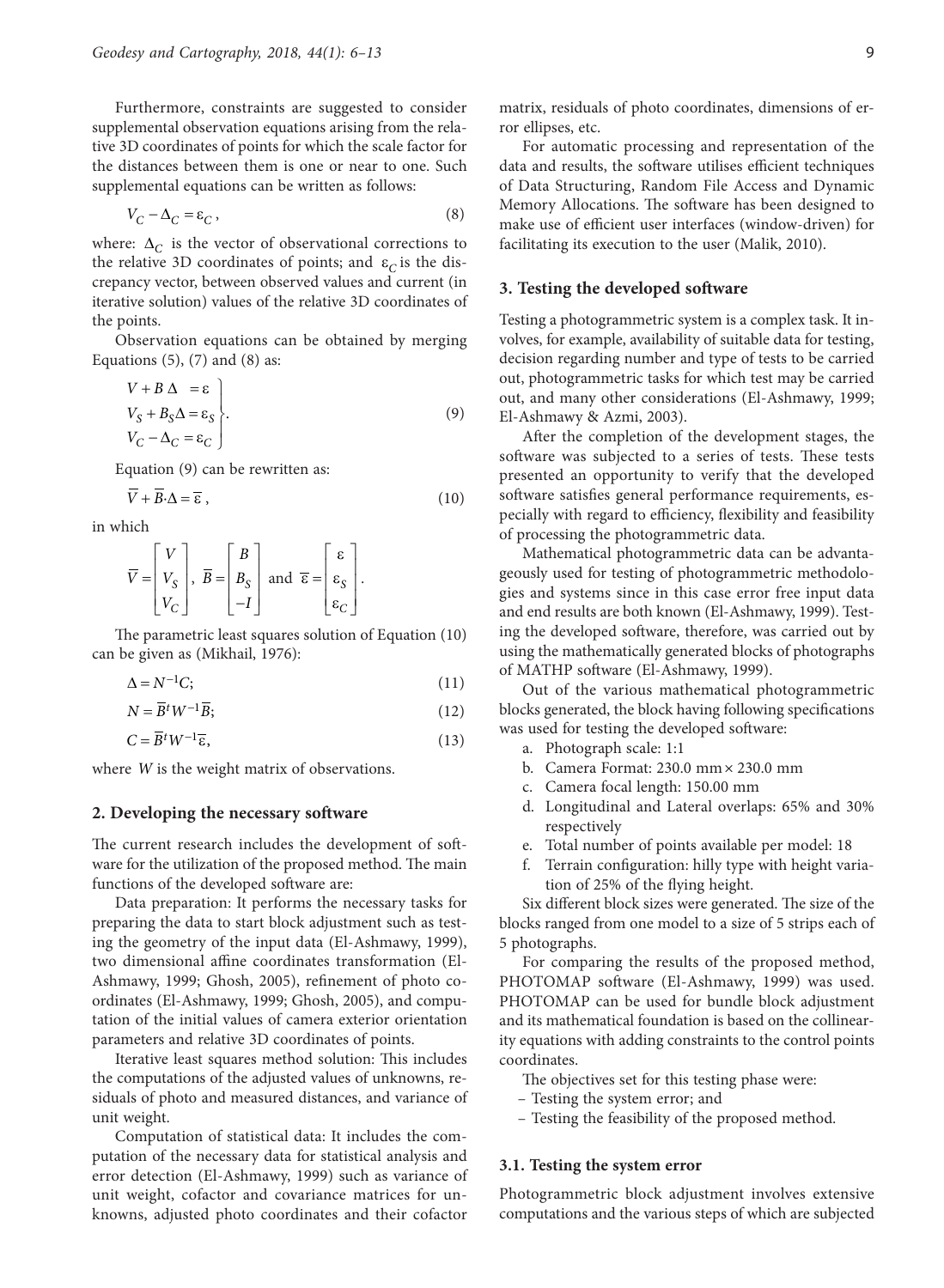Furthermore, constraints are suggested to consider supplemental observation equations arising from the relative 3D coordinates of points for which the scale factor for the distances between them is one or near to one. Such supplemental equations can be written as follows:

$$
V_C - \Delta_C = \varepsilon_C, \qquad (8)
$$

where: Δ<sub>*C*</sub> is the vector of observational corrections to the relative 3D coordinates of points; and  $\varepsilon_c$  is the discrepancy vector, between observed values and current (in iterative solution) values of the relative 3D coordinates of the points.

Observation equations can be obtained by merging Equations  $(5)$ ,  $(7)$  and  $(8)$  as:

$$
V + B \Delta = \varepsilon
$$
  
\n
$$
V_S + B_S \Delta = \varepsilon_S
$$
  
\n
$$
V_C - \Delta_C = \varepsilon_C
$$
 (9)

Equation (9) can be rewritten as:

$$
\overline{V} + \overline{B} \cdot \Delta = \overline{\epsilon} \,, \tag{10}
$$

in which

$$
\overline{V} = \begin{bmatrix} V \\ V_S \\ V_C \end{bmatrix}, \ \overline{B} = \begin{bmatrix} B \\ B_S \\ -I \end{bmatrix} \text{ and } \ \overline{\epsilon} = \begin{bmatrix} \epsilon \\ \epsilon_S \\ \epsilon_C \end{bmatrix}.
$$

The parametric least squares solution of Equation (10) can be given as (Mikhail, 1976):

$$
\Delta = N^{-1}C; \tag{11}
$$

$$
N = \overline{B}^t W^{-1} \overline{B};\tag{12}
$$

$$
C = \overline{B}^t W^{-1} \overline{\epsilon},\tag{13}
$$

where *W* is the weight matrix of observations.

#### **2. Developing the necessary software**

The current research includes the development of software for the utilization of the proposed method. The main functions of the developed software are:

Data preparation: It performs the necessary tasks for preparing the data to start block adjustment such as testing the geometry of the input data (El-Ashmawy, 1999), two dimensional affine coordinates transformation (El-Ashmawy, 1999; Ghosh, 2005), refinement of photo coordinates (El-Ashmawy, 1999; Ghosh, 2005), and computation of the initial values of camera exterior orientation parameters and relative 3D coordinates of points.

Iterative least squares method solution: This includes the computations of the adjusted values of unknowns, residuals of photo and measured distances, and variance of unit weight.

Computation of statistical data: It includes the computation of the necessary data for statistical analysis and error detection (El-Ashmawy, 1999) such as variance of unit weight, cofactor and covariance matrices for unknowns, adjusted photo coordinates and their cofactor

matrix, residuals of photo coordinates, dimensions of error ellipses, etc.

For automatic processing and representation of the data and results, the software utilises efficient techniques of Data Structuring, Random File Access and Dynamic Memory Allocations. The software has been designed to make use of efficient user interfaces (window-driven) for facilitating its execution to the user (Malik, 2010).

#### **3. Testing the developed software**

Testing a photogrammetric system is a complex task. It involves, for example, availability of suitable data for testing, decision regarding number and type of tests to be carried out, photogrammetric tasks for which test may be carried out, and many other considerations (El-Ashmawy, 1999; El-Ashmawy & Azmi, 2003).

After the completion of the development stages, the software was subjected to a series of tests. These tests presented an opportunity to verify that the developed software satisfies general performance requirements, especially with regard to efficiency, flexibility and feasibility of processing the photogrammetric data.

Mathematical photogrammetric data can be advantageously used for testing of photogrammetric methodologies and systems since in this case error free input data and end results are both known (El-Ashmawy, 1999). Testing the developed software, therefore, was carried out by using the mathematically generated blocks of photographs of MATHP software (El-Ashmawy, 1999).

Out of the various mathematical photogrammetric blocks generated, the block having following specifications was used for testing the developed software:

- a. Photograph scale: 1:1
- b. Camera Format: 230.0 mm× 230.0 mm
- c. Camera focal length: 150.00 mm
- d. Longitudinal and Lateral overlaps: 65% and 30% respectively
- e. Total number of points available per model: 18
- f. Terrain configuration: hilly type with height variation of 25% of the flying height.

Six different block sizes were generated. The size of the blocks ranged from one model to a size of 5 strips each of 5 photographs.

For comparing the results of the proposed method, PHOTOMAP software (El-Ashmawy, 1999) was used. PHOTOMAP can be used for bundle block adjustment and its mathematical foundation is based on the collinearity equations with adding constraints to the control points coordinates.

The objectives set for this testing phase were:

- Testing the system error; and
- Testing the feasibility of the proposed method.

#### **3.1. Testing the system error**

Photogrammetric block adjustment involves extensive computations and the various steps of which are subjected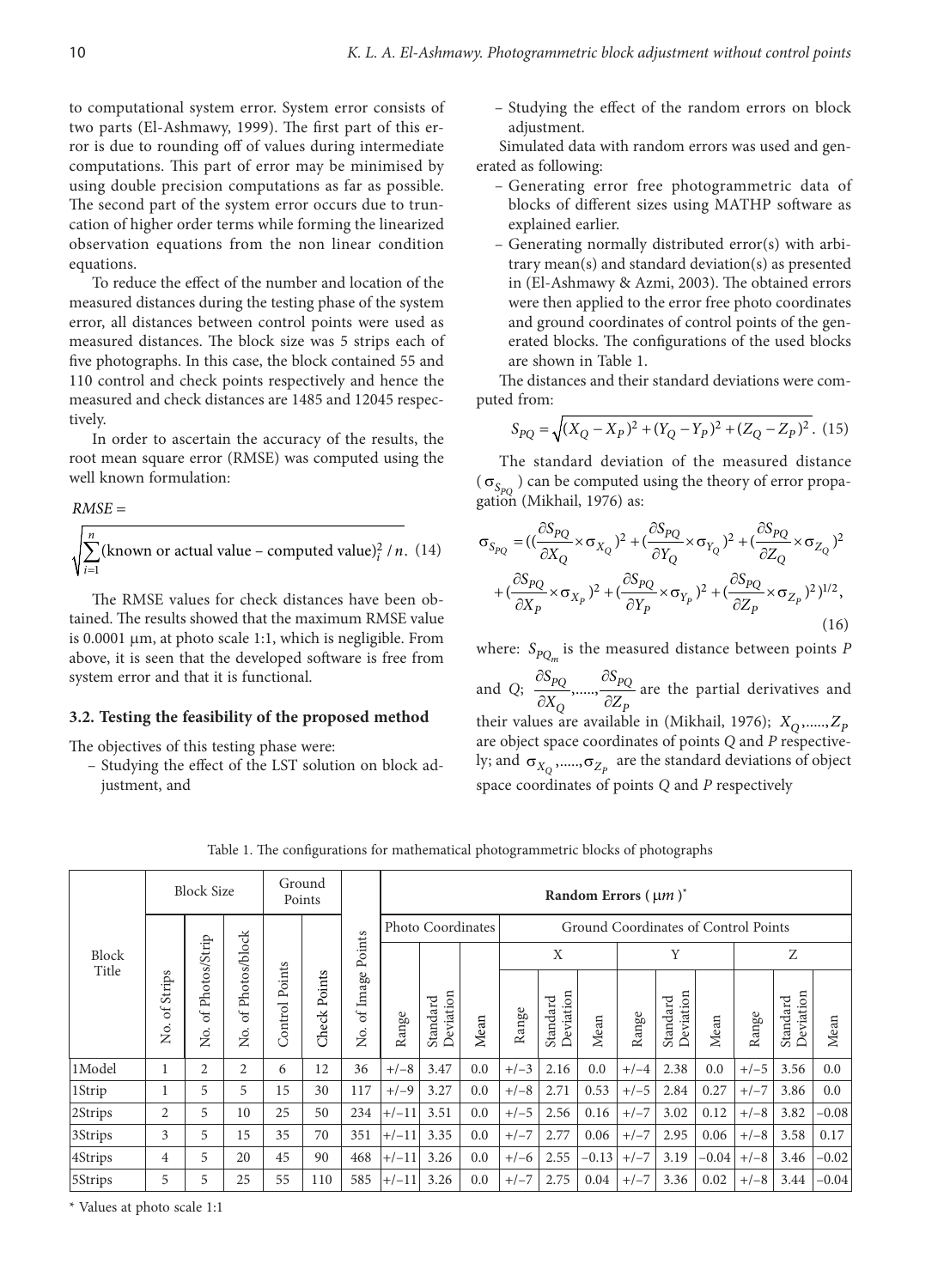to computational system error. System error consists of two parts (El-Ashmawy, 1999). The first part of this error is due to rounding off of values during intermediate computations. This part of error may be minimised by using double precision computations as far as possible. The second part of the system error occurs due to truncation of higher order terms while forming the linearized observation equations from the non linear condition equations.

To reduce the effect of the number and location of the measured distances during the testing phase of the system error, all distances between control points were used as measured distances. The block size was 5 strips each of five photographs. In this case, the block contained 55 and 110 control and check points respectively and hence the measured and check distances are 1485 and 12045 respectively.

In order to ascertain the accuracy of the results, the root mean square error (RMSE) was computed using the well known formulation:

*RMSE* =

$$
\sqrt{\sum_{i=1}^{n} (\text{known or actual value} - \text{computed value})^2_i / n}
$$
. (14)

The RMSE values for check distances have been obtained. The results showed that the maximum RMSE value is  $0.0001 \mu m$ , at photo scale 1:1, which is negligible. From above, it is seen that the developed software is free from system error and that it is functional.

#### **3.2. Testing the feasibility of the proposed method**

The objectives of this testing phase were:

– Studying the effect of the LST solution on block adjustment, and

– Studying the effect of the random errors on block adjustment.

Simulated data with random errors was used and generated as following:

- Generating error free photogrammetric data of blocks of different sizes using MATHP software as explained earlier.
- Generating normally distributed error(s) with arbitrary mean(s) and standard deviation(s) as presented in (El-Ashmawy & Azmi, 2003). The obtained errors were then applied to the error free photo coordinates and ground coordinates of control points of the generated blocks. The configurations of the used blocks are shown in Table 1.

The distances and their standard deviations were computed from:

$$
S_{PQ} = \sqrt{(X_Q - X_P)^2 + (Y_Q - Y_P)^2 + (Z_Q - Z_P)^2}.
$$
 (15)

The standard deviation of the measured distance  $(\sigma_{S_{PQ}})$  can be computed using the theory of error propagation (Mikhail, 1976) as:

$$
\sigma_{S_{PQ}} = ((\frac{\partial S_{PQ}}{\partial X_Q} \times \sigma_{X_Q})^2 + (\frac{\partial S_{PQ}}{\partial Y_Q} \times \sigma_{Y_Q})^2 + (\frac{\partial S_{PQ}}{\partial Z_Q} \times \sigma_{Z_Q})^2 \n+ (\frac{\partial S_{PQ}}{\partial X_P} \times \sigma_{X_P})^2 + (\frac{\partial S_{PQ}}{\partial Y_P} \times \sigma_{Y_P})^2 + (\frac{\partial S_{PQ}}{\partial Z_P} \times \sigma_{Z_P})^2)^{1/2},
$$
\n(16)

where:  $S_{PO_{m}}$  is the measured distance between points *P* 

and *Q*;  $\frac{\omega_{PQ}}{2x}, \dots, \frac{\omega_{PQ}}{27}$  $Q \qquad \nu L_F$  $S_{PO}$   $\partial S$  $X_O$   $\partial Z$  $\partial S_{pQ}$   $\partial$  $\frac{PQ}{\partial X_Q}$ ,.....,  $\frac{PQ}{\partial Z_P}$  are the partial derivatives and their values are available in (Mikhail, 1976);  $X_0$ ,.....,  $Z_p$ are object space coordinates of points *Q* and *P* respectively; and  $\sigma_{\ensuremath{\boldsymbol{X}}_\text{Q}}$  ,.....,  $\sigma_{\ensuremath{\boldsymbol{Z}}_P}$  are the standard deviations of object space coordinates of points *Q* and *P* respectively

| Block<br>Title | <b>Block Size</b>        |                          |                                 | Ground            | Points          |                          | Random Errors $(\mu m)^*$ |                       |      |        |                       |         |        |                       |                                      |        |                       |         |
|----------------|--------------------------|--------------------------|---------------------------------|-------------------|-----------------|--------------------------|---------------------------|-----------------------|------|--------|-----------------------|---------|--------|-----------------------|--------------------------------------|--------|-----------------------|---------|
|                |                          | Photos/Strip<br>ð<br>Σó. |                                 |                   |                 |                          |                           | Photo Coordinates     |      |        |                       |         |        |                       | Ground Coordinates of Control Points |        |                       |         |
|                | Strips<br>$\sigma$<br>Σó |                          |                                 |                   |                 | Points                   |                           |                       |      | X      |                       | Y       |        | Z                     |                                      |        |                       |         |
|                |                          |                          | Photos/block<br>$\sigma$<br>Σó. | Points<br>Control | Points<br>Check | Image<br>$\sigma$<br>Σó. | Range                     | Deviation<br>Standard | Mean | Range  | Deviation<br>Standard | Mean    | Range  | Deviation<br>Standard | Mean                                 | Range  | Deviation<br>Standard | Mean    |
| 1Model         |                          | $\overline{2}$           | $\overline{2}$                  | 6                 | 12              | 36                       | $+/-8$                    | 3.47                  | 0.0  | $+/-3$ | 2.16                  | 0.0     | $+/-4$ | 2.38                  | 0.0                                  | $+/-5$ | 3.56                  | 0.0     |
| 1Strip         | 1                        | 5.                       | 5                               | 15                | 30              | 117                      | $+/-9$                    | 3.27                  | 0.0  | $+/-8$ | 2.71                  | 0.53    | $+/-5$ | 2.84                  | 0.27                                 | $+/-7$ | 3.86                  | 0.0     |
| 2Strips        | $\overline{2}$           | 5                        | 10                              | 25                | 50              | 234                      | $+/-11$                   | 3.51                  | 0.0  | $+/-5$ | 2.56                  | 0.16    | $+/-7$ | 3.02                  | 0.12                                 | $+/-8$ | 3.82                  | $-0.08$ |
| 3Strips        | 3                        | 5.                       | 15                              | 35                | 70              | 351                      | $+/-11$                   | 3.35                  | 0.0  | $+/-7$ | 2.77                  | 0.06    | $+/-7$ | 2.95                  | 0.06                                 | $+/-8$ | 3.58                  | 0.17    |
| 4Strips        | 4                        | 5                        | 20                              | 45                | 90              | 468                      | $+/-11$                   | 3.26                  | 0.0  | $+/-6$ | 2.55                  | $-0.13$ | $+/-7$ | 3.19                  | $-0.04$                              | $+/-8$ | 3.46                  | $-0.02$ |
| 5Strips        | 5                        | 5                        | 25                              | 55                | 110             | 585                      | $+/-11$                   | 3.26                  | 0.0  | $+/-7$ | 2.75                  | 0.04    | $+/-7$ | 3.36                  | 0.02                                 | $+/-8$ | 3.44                  | $-0.04$ |

Table 1. The configurations for mathematical photogrammetric blocks of photographs

\* Values at photo scale 1:1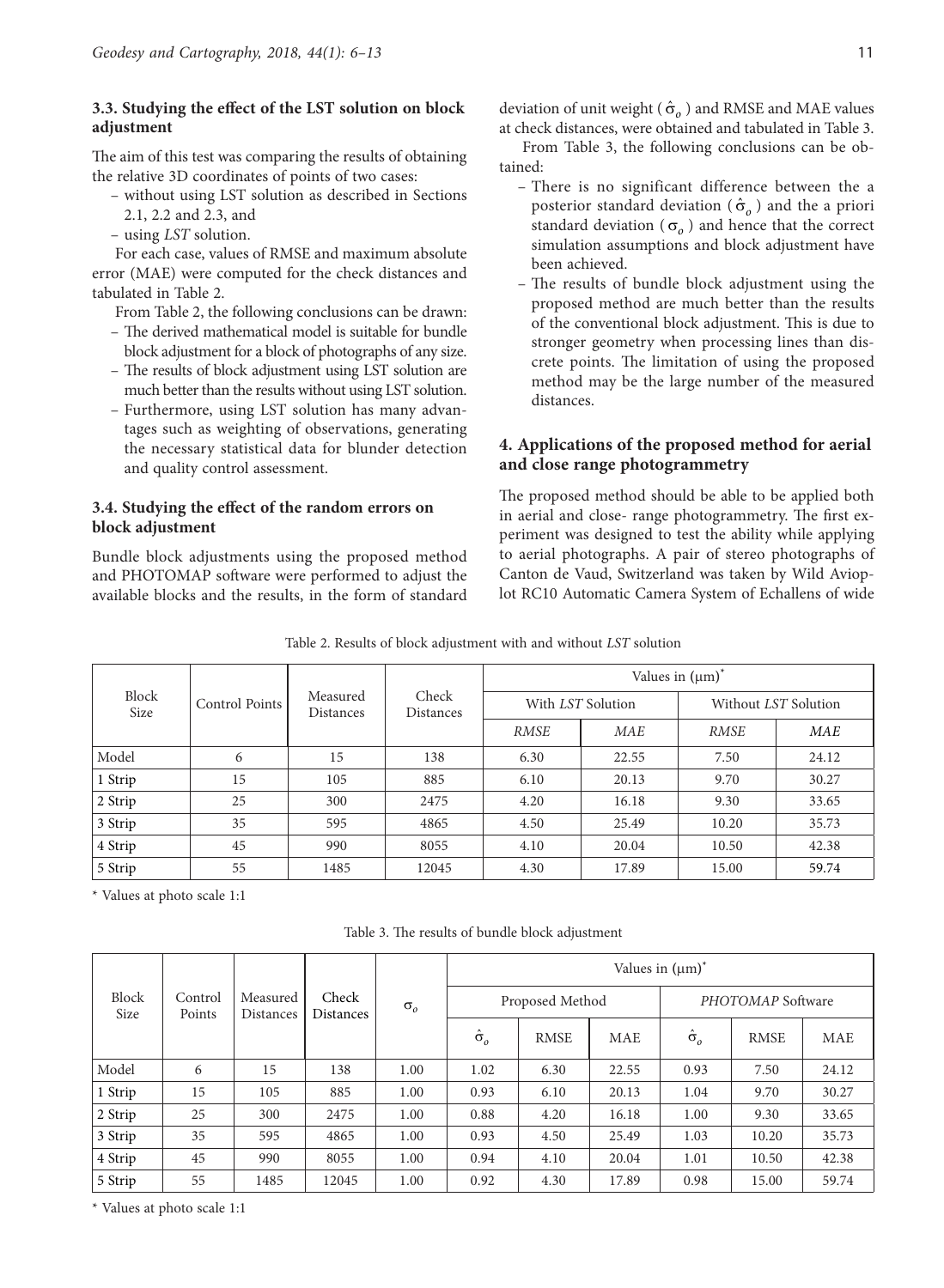### **3.3. Studying the effect of the LST solution on block adjustment**

The aim of this test was comparing the results of obtaining the relative 3D coordinates of points of two cases:

- without using LST solution as described in Sections 2.1, 2.2 and 2.3, and
- using *LST* solution.

For each case, values of RMSE and maximum absolute error (MAE) were computed for the check distances and tabulated in Table 2.

- From Table 2, the following conclusions can be drawn:
- The derived mathematical model is suitable for bundle block adjustment for a block of photographs of any size.
- The results of block adjustment using LST solution are much better than the results without using LST solution.
- Furthermore, using LST solution has many advantages such as weighting of observations, generating the necessary statistical data for blunder detection and quality control assessment.

### **3.4. Studying the effect of the random errors on block adjustment**

Bundle block adjustments using the proposed method and PHOTOMAP software were performed to adjust the available blocks and the results, in the form of standard deviation of unit weight ( $\hat{\sigma}_o$ ) and RMSE and MAE values at check distances, were obtained and tabulated in Table 3.

From Table 3, the following conclusions can be obtained:

- There is no significant difference between the a posterior standard deviation ( $\hat{\sigma}_o$ ) and the a priori standard deviation ( $\sigma$ <sub>o</sub>) and hence that the correct simulation assumptions and block adjustment have been achieved.
- The results of bundle block adjustment using the proposed method are much better than the results of the conventional block adjustment. This is due to stronger geometry when processing lines than discrete points. The limitation of using the proposed method may be the large number of the measured distances.

## **4. Applications of the proposed method for aerial and close range photogrammetry**

The proposed method should be able to be applied both in aerial and close- range photogrammetry. The first experiment was designed to test the ability while applying to aerial photographs. A pair of stereo photographs of Canton de Vaud, Switzerland was taken by Wild Avioplot RC10 Automatic Camera System of Echallens of wide

| racie 2: Results of clock automnent with any without box solution |                |                              |                           |                       |                   |                      |            |  |  |  |  |
|-------------------------------------------------------------------|----------------|------------------------------|---------------------------|-----------------------|-------------------|----------------------|------------|--|--|--|--|
| Block<br>Size                                                     |                |                              | Check<br><b>Distances</b> | Values in $(\mu m)^*$ |                   |                      |            |  |  |  |  |
|                                                                   | Control Points | Measured<br><b>Distances</b> |                           |                       | With LST Solution | Without LST Solution |            |  |  |  |  |
|                                                                   |                |                              |                           | <b>RMSE</b>           | <b>MAE</b>        | <b>RMSE</b>          | <b>MAE</b> |  |  |  |  |
| Model                                                             | 6              | 15                           | 138                       | 6.30                  | 22.55             | 7.50                 | 24.12      |  |  |  |  |
| 1 Strip                                                           | 15             | 105                          | 885                       | 6.10                  | 20.13             | 9.70                 | 30.27      |  |  |  |  |
| 2 Strip                                                           | 25             | 300                          | 2475                      | 4.20                  | 16.18             | 9.30                 | 33.65      |  |  |  |  |
| 3 Strip                                                           | 35             | 595                          | 4865                      | 4.50                  | 25.49             | 10.20                | 35.73      |  |  |  |  |
| 4 Strip                                                           | 45             | 990                          | 8055                      | 4.10                  | 20.04             | 10.50                | 42.38      |  |  |  |  |
| 5 Strip                                                           | 55             | 1485                         | 12045                     | 4.30                  | 17.89             | 15.00                | 59.74      |  |  |  |  |

Table 2. Results of block adjustment with and without *LST* solution

\* Values at photo scale 1:1

Table 3. The results of bundle block adjustment

|               | Control<br>Points | Measured<br><b>Distances</b> |                    | $\sigma_{o}$ | Values in $(\mu m)^*$ |                 |            |                    |             |            |  |  |
|---------------|-------------------|------------------------------|--------------------|--------------|-----------------------|-----------------|------------|--------------------|-------------|------------|--|--|
| Block<br>Size |                   |                              | Check<br>Distances |              |                       | Proposed Method |            | PHOTOMAP Software  |             |            |  |  |
|               |                   |                              |                    |              | $\hat{\sigma}_o$      | <b>RMSE</b>     | <b>MAE</b> | $\hat{\sigma}_{o}$ | <b>RMSE</b> | <b>MAE</b> |  |  |
| Model         | 6                 | 15                           | 138                | 1.00         | 1.02                  | 6.30            | 22.55      | 0.93               | 7.50        | 24.12      |  |  |
| 1 Strip       | 15                | 105                          | 885                | 1.00         | 0.93                  | 6.10            | 20.13      | 1.04               | 9.70        | 30.27      |  |  |
| 2 Strip       | 25                | 300                          | 2475               | 1.00         | 0.88                  | 4.20            | 16.18      | 1.00               | 9.30        | 33.65      |  |  |
| 3 Strip       | 35                | 595                          | 4865               | 1.00         | 0.93                  | 4.50            | 25.49      | 1.03               | 10.20       | 35.73      |  |  |
| 4 Strip       | 45                | 990                          | 8055               | 1.00         | 0.94                  | 4.10            | 20.04      | 1.01               | 10.50       | 42.38      |  |  |
| 5 Strip       | 55                | 1485                         | 12045              | 1.00         | 0.92                  | 4.30            | 17.89      | 0.98               | 15.00       | 59.74      |  |  |

\* Values at photo scale 1:1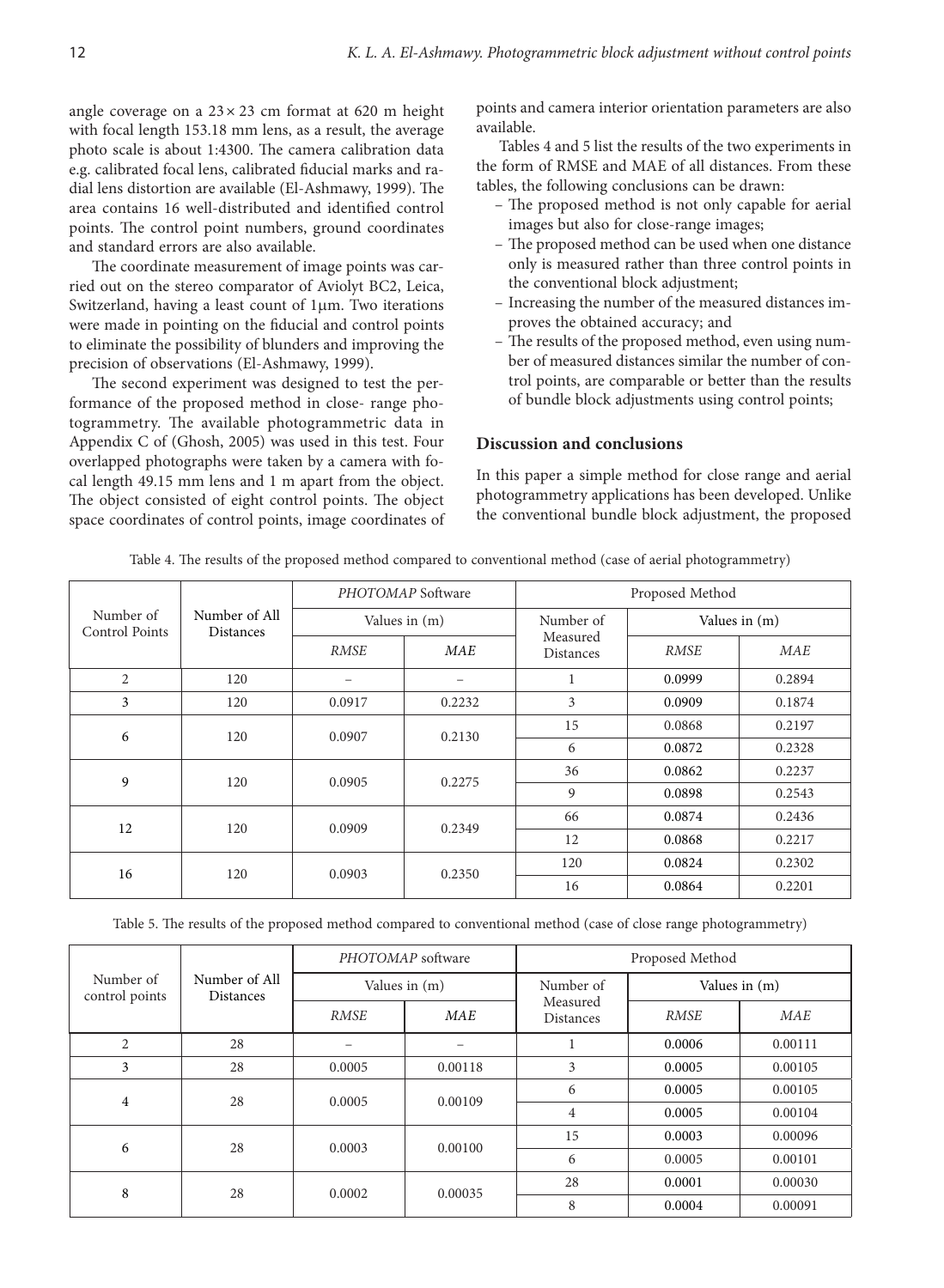angle coverage on a  $23 \times 23$  cm format at 620 m height with focal length 153.18 mm lens, as a result, the average photo scale is about 1:4300. The camera calibration data e.g. calibrated focal lens, calibrated fiducial marks and radial lens distortion are available (El-Ashmawy, 1999). The area contains 16 well-distributed and identified control points. The control point numbers, ground coordinates and standard errors are also available.

The coordinate measurement of image points was carried out on the stereo comparator of Aviolyt BC2, Leica, Switzerland, having a least count of 1µm. Two iterations were made in pointing on the fiducial and control points to eliminate the possibility of blunders and improving the precision of observations (El-Ashmawy, 1999).

The second experiment was designed to test the performance of the proposed method in close- range photogrammetry. The available photogrammetric data in Appendix C of (Ghosh, 2005) was used in this test. Four overlapped photographs were taken by a camera with focal length 49.15 mm lens and 1 m apart from the object. The object consisted of eight control points. The object space coordinates of control points, image coordinates of points and camera interior orientation parameters are also available.

Tables 4 and 5 list the results of the two experiments in the form of RMSE and MAE of all distances. From these tables, the following conclusions can be drawn:

- The proposed method is not only capable for aerial images but also for close-range images;
- The proposed method can be used when one distance only is measured rather than three control points in the conventional block adjustment;
- Increasing the number of the measured distances improves the obtained accuracy; and
- The results of the proposed method, even using number of measured distances similar the number of control points, are comparable or better than the results of bundle block adjustments using control points;

#### **Discussion and conclusions**

In this paper a simple method for close range and aerial photogrammetry applications has been developed. Unlike the conventional bundle block adjustment, the proposed

| Table 4. The results of the proposed method compared to conventional method (case of aerial photogrammetry) |
|-------------------------------------------------------------------------------------------------------------|
|                                                                                                             |

|                             |                                   |             | PHOTOMAP Software | Proposed Method              |               |            |  |  |
|-----------------------------|-----------------------------------|-------------|-------------------|------------------------------|---------------|------------|--|--|
| Number of<br>Control Points | Number of All<br><b>Distances</b> |             | Values in (m)     | Number of                    | Values in (m) |            |  |  |
|                             |                                   | <b>RMSE</b> | <b>MAE</b>        | Measured<br><b>Distances</b> | <b>RMSE</b>   | <b>MAE</b> |  |  |
| $\overline{2}$              | 120                               |             |                   |                              | 0.0999        | 0.2894     |  |  |
| 3                           | 120                               | 0.0917      | 0.2232            | 3                            | 0.0909        | 0.1874     |  |  |
| 6                           | 120                               | 0.0907      | 0.2130            | 15                           | 0.0868        | 0.2197     |  |  |
|                             |                                   |             |                   | 6                            | 0.0872        | 0.2328     |  |  |
| 9                           | 120                               | 0.0905      | 0.2275            | 36                           | 0.0862        | 0.2237     |  |  |
|                             |                                   |             |                   | 9                            | 0.0898        | 0.2543     |  |  |
| 12                          | 120                               | 0.0909      | 0.2349            | 66                           | 0.0874        | 0.2436     |  |  |
|                             |                                   |             |                   | 12                           | 0.0868        | 0.2217     |  |  |
| 16                          | 120                               | 0.0903      | 0.2350            | 120                          | 0.0824        | 0.2302     |  |  |
|                             |                                   |             |                   | 16                           | 0.0864        | 0.2201     |  |  |

Table 5. The results of the proposed method compared to conventional method (case of close range photogrammetry)

|                             |                                   |             | PHOTOMAP software | Proposed Method       |               |            |  |  |
|-----------------------------|-----------------------------------|-------------|-------------------|-----------------------|---------------|------------|--|--|
| Number of<br>control points | Number of All<br><b>Distances</b> |             | Values in (m)     | Number of             | Values in (m) |            |  |  |
|                             |                                   | <b>RMSE</b> | <b>MAE</b>        | Measured<br>Distances | <b>RMSE</b>   | <b>MAE</b> |  |  |
| $\overline{c}$              | 28                                |             | -                 |                       | 0.0006        | 0.00111    |  |  |
| 3                           | 28                                | 0.0005      | 0.00118           | 3                     | 0.0005        | 0.00105    |  |  |
| 4                           | 28                                | 0.0005      | 0.00109           | 6                     | 0.0005        | 0.00105    |  |  |
|                             |                                   |             |                   | 4                     | 0.0005        | 0.00104    |  |  |
| 6                           | 28                                | 0.0003      | 0.00100           | 15                    | 0.0003        | 0.00096    |  |  |
|                             |                                   |             |                   | 6                     | 0.0005        | 0.00101    |  |  |
| 8                           | 28                                | 0.0002      | 0.00035           | 28                    | 0.0001        | 0.00030    |  |  |
|                             |                                   |             |                   | 8                     | 0.0004        | 0.00091    |  |  |